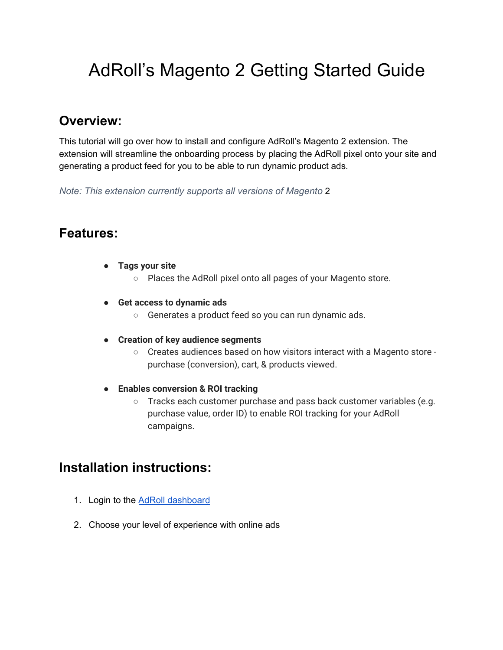## AdRoll's Magento 2 Getting Started Guide

## **Overview:**

This tutorial will go over how to install and configure AdRoll's Magento 2 extension. The extension will streamline the onboarding process by placing the AdRoll pixel onto your site and generating a product feed for you to be able to run dynamic product ads.

*Note: This extension currently supports all versions of Magento* 2

## **Features:**

- **Tags your site**
	- Places the AdRoll pixel onto all pages of your Magento store.
- **● Get access to dynamic ads**
	- Generates a product feed so you can run dynamic ads.
- **● Creation of key audience segments**
	- Creates audiences based on how visitors interact with a Magento store purchase (conversion), cart, & products viewed.
- **● Enables conversion & ROI tracking**
	- Tracks each customer purchase and pass back customer variables (e.g. purchase value, order ID) to enable ROI tracking for your AdRoll campaigns.

## **Installation instructions:**

- 1. Login to the **AdRoll [dashboard](https://app.adroll.com/activate/getting-started)**
- 2. Choose your level of experience with online ads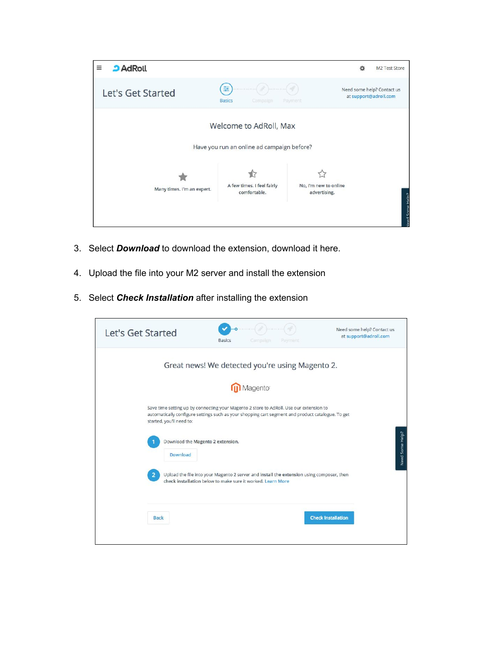

- 3. Select *Download* to download the extension, download it here.
- 4. Upload the file into your M2 server and install the extension
- 5. Select *Check Installation* after installing the extension

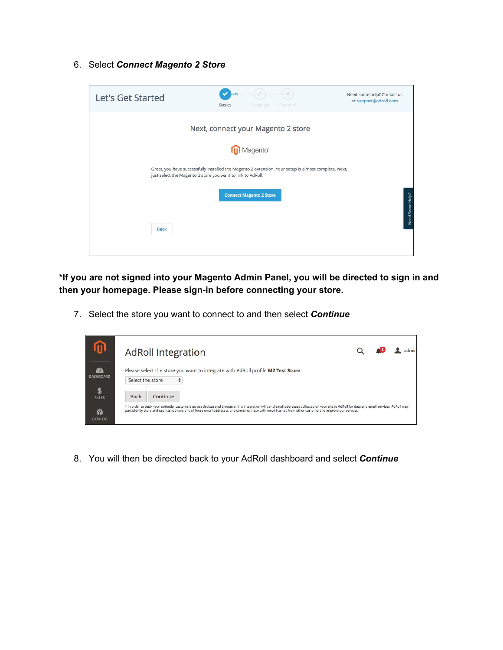6. Select *Connect Magento 2 Store*



**\*If you are not signed into your Magento Admin Panel, you will be directed to sign in and then your homepage. Please sign-in before connecting your store.**

7. Select the store you want to connect to and then select *Continue*

|                                   | <b>AdRoll Integration</b> |                                                                                                                                                                                                                                                                                                                                                                    |  |  |  |
|-----------------------------------|---------------------------|--------------------------------------------------------------------------------------------------------------------------------------------------------------------------------------------------------------------------------------------------------------------------------------------------------------------------------------------------------------------|--|--|--|
| $\mathcal{L}$<br><b>DASHBOARD</b> |                           | Please select the store you want to integrate with AdRoll profile M2 Test Store<br>Select the store                                                                                                                                                                                                                                                                |  |  |  |
| S<br><b>SALES</b>                 | <b>Back</b>               | Continue<br>* In order to track your potential customers across devices and browsers, this integration will send email addresses collected on your site to AdRoll for data and email services. AdRoll may<br>persistently store and use hashed versions of these email addresses and combine these with email hashes from other customers to improve our services. |  |  |  |
| Y<br>CATALOG                      |                           |                                                                                                                                                                                                                                                                                                                                                                    |  |  |  |

8. You will then be directed back to your AdRoll dashboard and select *Continue*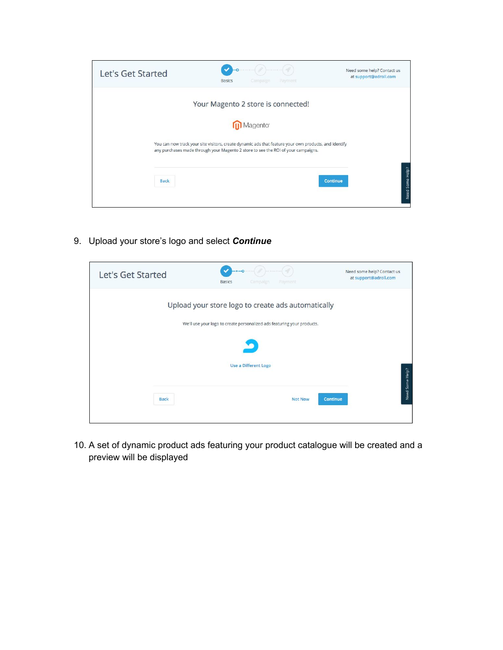

9. Upload your store's logo and select *Continue*



10. A set of dynamic product ads featuring your product catalogue will be created and a preview will be displayed